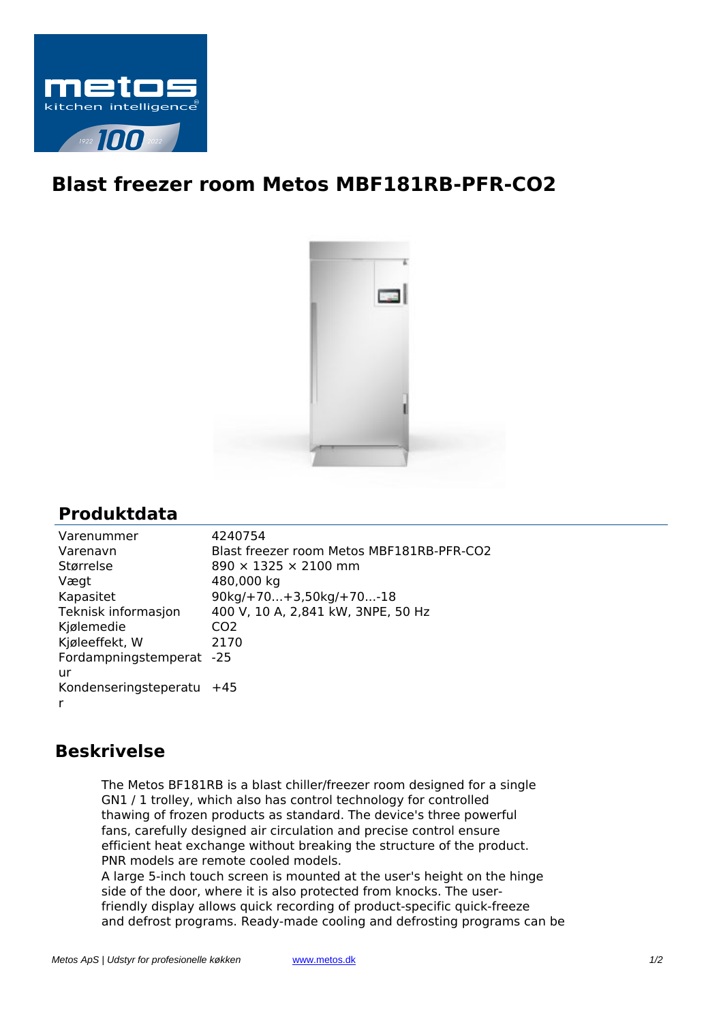

## **Blast freezer room Metos MBF181RB-PFR-CO2**



## **Produktdata**

| Varenummer            | 4240754                                   |
|-----------------------|-------------------------------------------|
| Varenavn              | Blast freezer room Metos MBF181RB-PFR-CO2 |
| Størrelse             | $890 \times 1325 \times 2100$ mm          |
| Vægt                  | 480,000 kg                                |
| Kapasitet             | $90kg/+70+3,50kg/+70-18$                  |
| Teknisk informasjon   | 400 V, 10 A, 2,841 kW, 3NPE, 50 Hz        |
| Kjølemedie            | CO <sub>2</sub>                           |
| Kjøleeffekt, W        | 2170                                      |
| Fordampningstemperat  | $-25$                                     |
| ur                    |                                           |
| Kondenseringsteperatu | +45                                       |
| r                     |                                           |

## **Beskrivelse**

The Metos BF181RB is a blast chiller/freezer room designed for a single GN1 / 1 trolley, which also has control technology for controlled thawing of frozen products as standard. The device's three powerful fans, carefully designed air circulation and precise control ensure efficient heat exchange without breaking the structure of the product. PNR models are remote cooled models.

A large 5-inch touch screen is mounted at the user's height on the hinge side of the door, where it is also protected from knocks. The userfriendly display allows quick recording of product-specific quick-freeze and defrost programs. Ready-made cooling and defrosting programs can be